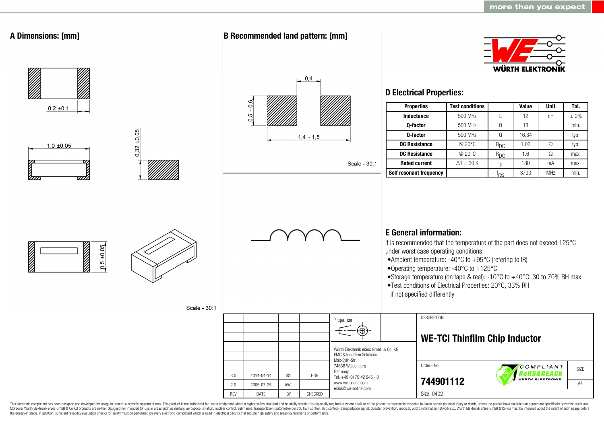

This electronic component has been designed and developed for usage in general electronic equipment only. This product is not authorized for use in equipment where a higher safety standard and reliability standard is espec Moreover Würth Elektronik eiSos GmbH & Co KG products are neither designed nor intended for use in areas such as military, aerospace, aviation, nuclear control, submarine, transportation (automotive control, ship control), the design-in stage. In addition, sufficient reliability evaluation checks for safety must be performed on every electronic component which is used in electrical circuits that require high safety and reliability functions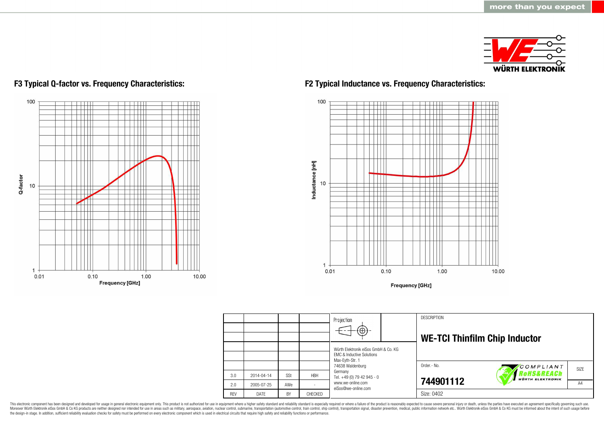

# 100 Ш T Q-factor 10 ╥  $\mathbf{1}$  $0.01$  $0.10$ 1.00 10.00 **Frequency [GHz]**

## **F3 Typical Q-factor vs. Frequency Characteristics: F2 Typical Inductance vs. Frequency Characteristics:**



**Frequency [GHz]** 

|            |            |     |            | Projection<br>$\left( \oplus \right)$                                        | <b>DESCRIPTION</b><br><b>WE-TCI Thinfilm Chip Inductor</b> |                                       |                   |
|------------|------------|-----|------------|------------------------------------------------------------------------------|------------------------------------------------------------|---------------------------------------|-------------------|
|            |            |     |            | Würth Elektronik eiSos GmbH & Co. KG<br><b>EMC &amp; Inductive Solutions</b> |                                                            |                                       |                   |
|            |            |     |            | Max-Eyth-Str. 1<br>74638 Waldenburg                                          | Order.- No.                                                | COMPLIANT                             | SI <sub>7</sub> F |
| 3.0        | 2014-04-14 | SSt | <b>HBH</b> | Germany<br>Tel. +49 (0) 79 42 945 - 0                                        |                                                            | Rohs&REACh<br><b>WÜRTH ELEKTRONIK</b> |                   |
| 2.0        | 2005-07-25 | AWe |            | www.we-online.com<br>eiSos@we-online.com                                     | 744901112                                                  |                                       | A4                |
| <b>RFV</b> | DATF       | BY  | CHECKED    |                                                                              | Size: 0402                                                 |                                       |                   |

This electronic component has been designed and developed for usage in general electronic equipment only. This product is not authorized for use in equipment where a higher safety standard and reliability standard is espec Moreover Würth Elektronik eiSos GmbH & Co KG products are neither designed nor intended for use in areas such as military, aerospace, aviation, nuclear control, submarine, transportation (automotive control), stain control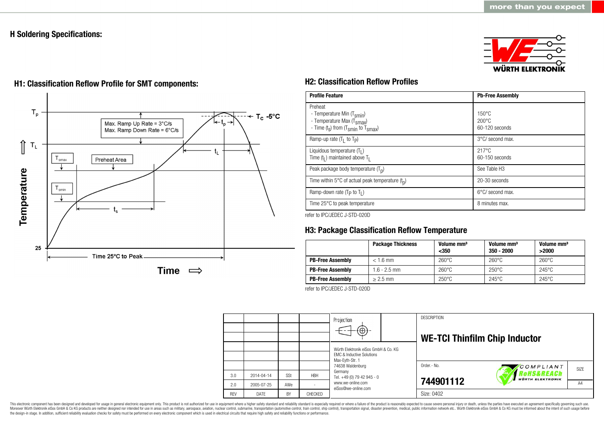## **H Soldering Specifications:**





## **H1: Classification Reflow Profile for SMT components: H2: Classification Reflow Profiles**

| <b>Profile Feature</b>                                                                                                                        | <b>Pb-Free Assembly</b>                             |  |  |
|-----------------------------------------------------------------------------------------------------------------------------------------------|-----------------------------------------------------|--|--|
| Preheat<br>- Temperature Min (T <sub>smin</sub> )<br>- Temperature Max (T <sub>Smax</sub> )<br>- Time $(t_s)$ from $(T_{smin}$ to $T_{smax})$ | $150^{\circ}$ C<br>$200\degree$ C<br>60-120 seconds |  |  |
| Ramp-up rate $(T_1$ to $T_p$ )                                                                                                                | 3°C/ second max.                                    |  |  |
| Liquidous temperature $(T1)$<br>Time $(t_1)$ maintained above $T_1$                                                                           | $217^{\circ}$ C<br>60-150 seconds                   |  |  |
| Peak package body temperature $(T_p)$                                                                                                         | See Table H <sub>3</sub>                            |  |  |
| Time within 5°C of actual peak temperature $(t_n)$                                                                                            | 20-30 seconds                                       |  |  |
| Ramp-down rate ( $T_P$ to $T_I$ )                                                                                                             | 6°C/ second max.                                    |  |  |
| Time 25°C to peak temperature                                                                                                                 | 8 minutes max.                                      |  |  |

refer to IPC/JEDEC J-STD-020D

## **H3: Package Classification Reflow Temperature**

|                         | <b>Package Thickness</b> | Volume mm <sup>3</sup><br>$350$ | Volume mm <sup>3</sup><br>$350 - 2000$ | Volume mm <sup>3</sup><br>>2000 |
|-------------------------|--------------------------|---------------------------------|----------------------------------------|---------------------------------|
| <b>PB-Free Assembly</b> | $< 1.6$ mm               | $260^{\circ}$ C                 | $260^{\circ}$ C                        | $260^{\circ}$ C                 |
| <b>PB-Free Assembly</b> | $1.6 - 2.5$ mm           | $260^{\circ}$ C                 | $250^{\circ}$ C                        | $245^{\circ}$ C                 |
| <b>PB-Free Assembly</b> | $> 2.5$ mm               | $250^{\circ}$ C                 | $245^{\circ}$ C                        | $245^{\circ}$ C                 |

refer to IPC/JEDEC J-STD-020D



This electronic component has been designed and developed for usage in general electronic equipment only. This product is not authorized for use in equipment where a higher safety standard and reliability standard is espec Moreover Würth Elektronik eiSos GmbH & Co KG products are neither designed nor intended for use in areas such as military, aerospace, aviation, nuclear control, submarine, transportation (automotive control, ship control), the design-in stage. In addition, sufficient reliability evaluation checks for safety must be performed on every electronic component which is used in electrical circuits that require high safety and reliability functions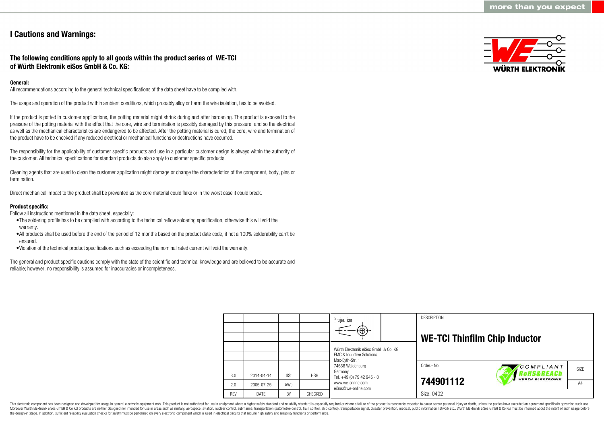## **I Cautions and Warnings:**

## **The following conditions apply to all goods within the product series of WE-TCI of Würth Elektronik eiSos GmbH & Co. KG:**

## **General:**

All recommendations according to the general technical specifications of the data sheet have to be complied with.

The usage and operation of the product within ambient conditions, which probably alloy or harm the wire isolation, has to be avoided.

If the product is potted in customer applications, the potting material might shrink during and after hardening. The product is exposed to the pressure of the potting material with the effect that the core, wire and termination is possibly damaged by this pressure and so the electrical as well as the mechanical characteristics are endangered to be affected. After the potting material is cured, the core, wire and termination of the product have to be checked if any reduced electrical or mechanical functions or destructions have occurred.

The responsibility for the applicability of customer specific products and use in a particular customer design is always within the authority of the customer. All technical specifications for standard products do also apply to customer specific products.

Cleaning agents that are used to clean the customer application might damage or change the characteristics of the component, body, pins or termination.

Direct mechanical impact to the product shall be prevented as the core material could flake or in the worst case it could break.

### **Product specific:**

Follow all instructions mentioned in the data sheet, especially:

- •The soldering profile has to be complied with according to the technical reflow soldering specification, otherwise this will void the warranty.
- •All products shall be used before the end of the period of 12 months based on the product date code, if not a 100% solderability can´t be ensured.
- •Violation of the technical product specifications such as exceeding the nominal rated current will void the warranty.

The general and product specific cautions comply with the state of the scientific and technical knowledge and are believed to be accurate and reliable; however, no responsibility is assumed for inaccuracies or incompleteness.



|            |            |            |            | Projection<br>$\Theta$                                                                          |  | <b>DESCRIPTION</b><br><b>WE-TCI Thinfilm Chip Inductor</b> |                                       |      |
|------------|------------|------------|------------|-------------------------------------------------------------------------------------------------|--|------------------------------------------------------------|---------------------------------------|------|
|            |            |            |            | Würth Elektronik eiSos GmbH & Co. KG<br><b>FMC &amp; Inductive Solutions</b><br>Max-Eyth-Str. 1 |  |                                                            |                                       |      |
|            |            |            |            | 74638 Waldenburg                                                                                |  | Order.- No.                                                | COMPLIANT                             | SIZE |
| 3.0        | 2014-04-14 | <b>SSt</b> | <b>HBH</b> | Germany<br>Tel. +49 (0) 79 42 945 - 0                                                           |  |                                                            | RoHS&REACh<br><b>WÜRTH ELEKTRONIK</b> |      |
| 2.0        | 2005-07-25 | AWe        |            | www.we-online.com<br>eiSos@we-online.com                                                        |  | 744901112                                                  |                                       | A4   |
| <b>REV</b> | DATE       | BY         | CHECKED    |                                                                                                 |  | Size: 0402                                                 |                                       |      |

This electronic component has been designed and developed for usage in general electronic equipment only. This product is not authorized for use in equipment where a higher safety standard and reliability standard is espec Moreover Würth Elektronik eiSos GmbH & Co KG products are neither designed nor intended for use in areas such as military, aerospace, aviation, nuclear control, submarine, transportation (automotive control), tain control) the design-in stage. In addition, sufficient reliability evaluation checks for safety must be performed on every electronic component which is used in electrical circuits that require high safety and reliability functions